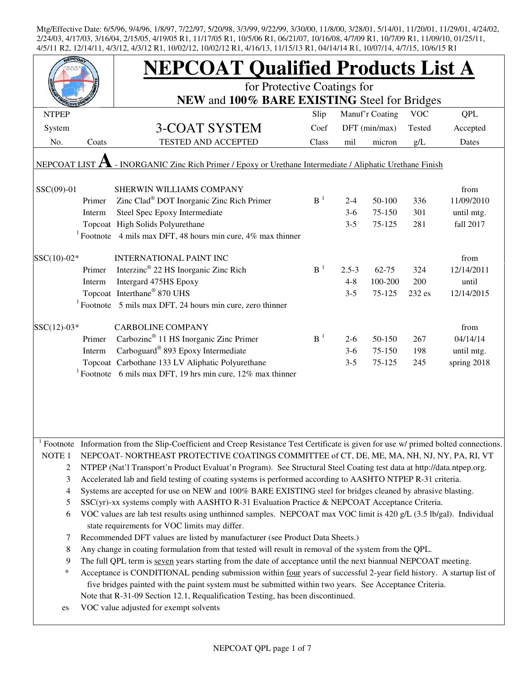|                     |        | <b>NEPCOAT Qualified Products List A</b>                                                                                                                            |                |           |                 |            |             |  |  |  |
|---------------------|--------|---------------------------------------------------------------------------------------------------------------------------------------------------------------------|----------------|-----------|-----------------|------------|-------------|--|--|--|
|                     |        | for Protective Coatings for                                                                                                                                         |                |           |                 |            |             |  |  |  |
|                     |        | NEW and 100% BARE EXISTING Steel for Bridges                                                                                                                        |                |           |                 |            |             |  |  |  |
| <b>NTPEP</b>        |        |                                                                                                                                                                     | Slip           |           | Manuf'r Coating | <b>VOC</b> | <b>QPL</b>  |  |  |  |
| System              |        | <b>3-COAT SYSTEM</b>                                                                                                                                                | Coef           |           | DFT (min/max)   | Tested     | Accepted    |  |  |  |
| No.                 | Coats  | <b>TESTED AND ACCEPTED</b>                                                                                                                                          | Class          | mil       | micron          | g/L        | Dates       |  |  |  |
| <b>NEPCOAT LIST</b> |        | - INORGANIC Zinc Rich Primer / Epoxy or Urethane Intermediate / Aliphatic Urethane Finish                                                                           |                |           |                 |            |             |  |  |  |
| SSC(09)-01          |        | SHERWIN WILLIAMS COMPANY                                                                                                                                            |                |           |                 |            | from        |  |  |  |
|                     | Primer | Zinc Clad® DOT Inorganic Zinc Rich Primer                                                                                                                           | B <sup>1</sup> | $2 - 4$   | 50-100          | 336        | 11/09/2010  |  |  |  |
|                     | Interm | Steel Spec Epoxy Intermediate                                                                                                                                       |                | $3-6$     | 75-150          | 301        | until mtg.  |  |  |  |
|                     |        | Topcoat High Solids Polyurethane                                                                                                                                    |                | $3 - 5$   | 75-125          | 281        | fall 2017   |  |  |  |
|                     |        | <sup>1</sup> Footnote 4 mils max DFT, 48 hours min cure, 4% max thinner                                                                                             |                |           |                 |            |             |  |  |  |
| $SSC(10)-02*$       |        | <b>INTERNATIONAL PAINT INC</b>                                                                                                                                      |                |           |                 |            | from        |  |  |  |
|                     | Primer | Interzinc <sup>®</sup> 22 HS Inorganic Zinc Rich                                                                                                                    | B <sup>1</sup> | $2.5 - 3$ | $62 - 75$       | 324        | 12/14/2011  |  |  |  |
|                     | Interm | Intergard 475HS Epoxy                                                                                                                                               |                | $4 - 8$   | 100-200         | 200        | until       |  |  |  |
|                     |        | Topcoat Interthane® 870 UHS                                                                                                                                         |                | $3 - 5$   | 75-125          | 232 es     | 12/14/2015  |  |  |  |
|                     |        | $1$ Footnote 5 mils max DFT, 24 hours min cure, zero thinner                                                                                                        |                |           |                 |            |             |  |  |  |
| $SSC(12)-03*$       |        | <b>CARBOLINE COMPANY</b>                                                                                                                                            |                |           |                 |            | from        |  |  |  |
|                     | Primer | Carbozinc <sup>®</sup> 11 HS Inorganic Zinc Primer                                                                                                                  | $B-1$          | $2 - 6$   | 50-150          | 267        | 04/14/14    |  |  |  |
|                     | Interm | Carboguard® 893 Epoxy Intermediate                                                                                                                                  |                | $3-6$     | 75-150          | 198        | until mtg.  |  |  |  |
|                     |        | Topcoat Carbothane 133 LV Aliphatic Polyurethane                                                                                                                    |                | $3 - 5$   | 75-125          | 245        | spring 2018 |  |  |  |
|                     |        | <sup>1</sup> Footnote 6 mils max DFT, 19 hrs min cure, 12% max thinner                                                                                              |                |           |                 |            |             |  |  |  |
|                     |        |                                                                                                                                                                     |                |           |                 |            |             |  |  |  |
|                     |        |                                                                                                                                                                     |                |           |                 |            |             |  |  |  |
|                     |        |                                                                                                                                                                     |                |           |                 |            |             |  |  |  |
|                     |        | Footnote Information from the Slip-Coefficient and Creep Resistance Test Certificate is given for use w/ primed bolted connections.                                 |                |           |                 |            |             |  |  |  |
| NOTE 1              |        | NEPCOAT-NORTHEAST PROTECTIVE COATINGS COMMITTEE of CT, DE, ME, MA, NH, NJ, NY, PA, RI, VT                                                                           |                |           |                 |            |             |  |  |  |
| $\overline{2}$      |        | NTPEP (Nat'l Transport'n Product Evaluat'n Program). See Structural Steel Coating test data at http://data.ntpep.org.                                               |                |           |                 |            |             |  |  |  |
| 3                   |        | Accelerated lab and field testing of coating systems is performed according to AASHTO NTPEP R-31 criteria.                                                          |                |           |                 |            |             |  |  |  |
| 4                   |        | Systems are accepted for use on NEW and 100% BARE EXISTING steel for bridges cleaned by abrasive blasting.                                                          |                |           |                 |            |             |  |  |  |
| 5                   |        | SSC(yr)-xx systems comply with AASHTO R-31 Evaluation Practice & NEPCOAT Acceptance Criteria.                                                                       |                |           |                 |            |             |  |  |  |
| 6                   |        | VOC values are lab test results using unthinned samples. NEPCOAT max VOC limit is 420 g/L (3.5 lb/gal). Individual<br>state requirements for VOC limits may differ. |                |           |                 |            |             |  |  |  |
| 7                   |        | Recommended DFT values are listed by manufacturer (see Product Data Sheets.)                                                                                        |                |           |                 |            |             |  |  |  |
| 8                   |        | Any change in coating formulation from that tested will result in removal of the system from the QPL.                                                               |                |           |                 |            |             |  |  |  |
| 9                   |        | The full QPL term is seven years starting from the date of acceptance until the next biannual NEPCOAT meeting.                                                      |                |           |                 |            |             |  |  |  |
| ∗                   |        | Acceptance is CONDITIONAL pending submission within four years of successful 2-year field history. A startup list of                                                |                |           |                 |            |             |  |  |  |
|                     |        | five bridges painted with the paint system must be submitted within two years. See Acceptance Criteria.                                                             |                |           |                 |            |             |  |  |  |
|                     |        | Note that R-31-09 Section 12.1, Requalification Testing, has been discontinued.                                                                                     |                |           |                 |            |             |  |  |  |
| es                  |        | VOC value adjusted for exempt solvents                                                                                                                              |                |           |                 |            |             |  |  |  |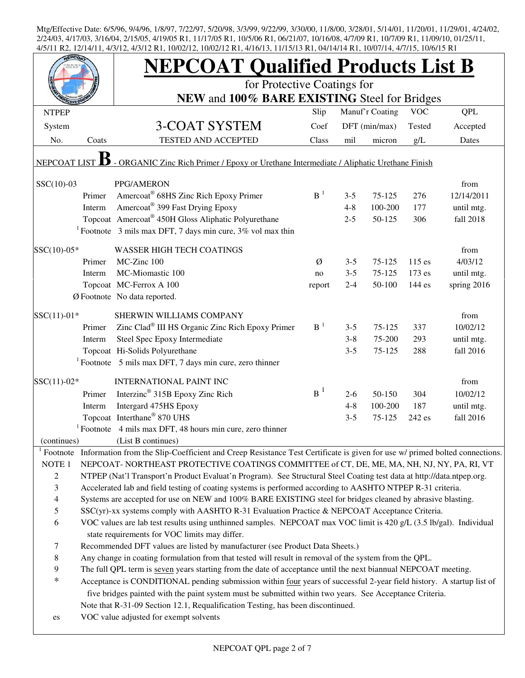|                   |        | <b>NEPCOAT Qualified Products List B</b>                                                                                                                            |                |                    |                  |            |                         |
|-------------------|--------|---------------------------------------------------------------------------------------------------------------------------------------------------------------------|----------------|--------------------|------------------|------------|-------------------------|
|                   |        | for Protective Coatings for<br>NEW and 100% BARE EXISTING Steel for Bridges                                                                                         |                |                    |                  |            |                         |
| <b>NTPEP</b>      |        |                                                                                                                                                                     | Slip           |                    | Manuf'r Coating  | <b>VOC</b> | <b>QPL</b>              |
| System            |        | 3-COAT SYSTEM                                                                                                                                                       | Coef           |                    | DFT (min/max)    | Tested     | Accepted                |
| No.               | Coats  | <b>TESTED AND ACCEPTED</b>                                                                                                                                          | Class          | mil                | micron           | g/L        | Dates                   |
|                   |        |                                                                                                                                                                     |                |                    |                  |            |                         |
| NEPCOAT LIST      |        | - ORGANIC Zinc Rich Primer / Epoxy or Urethane Intermediate / Aliphatic Urethane Finish                                                                             |                |                    |                  |            |                         |
| $SSC(10)-03$      |        | PPG/AMERON                                                                                                                                                          |                |                    |                  |            | from                    |
|                   | Primer | Amercoat® 68HS Zinc Rich Epoxy Primer                                                                                                                               | $B-1$          | $3 - 5$            | $75 - 125$       | 276        | 12/14/2011              |
|                   | Interm | Amercoat <sup>®</sup> 399 Fast Drying Epoxy                                                                                                                         |                | $4 - 8$            | 100-200          | 177        | until mtg.              |
|                   |        | Topcoat Amercoat® 450H Gloss Aliphatic Polyurethane                                                                                                                 |                | $2 - 5$            | 50-125           | 306        | fall 2018               |
|                   |        | <sup>1</sup> Footnote 3 mils max DFT, 7 days min cure, $3\%$ vol max thin                                                                                           |                |                    |                  |            |                         |
| SSC(10)-05*       |        | <b>WASSER HIGH TECH COATINGS</b>                                                                                                                                    |                |                    |                  |            | from                    |
|                   | Primer | MC-Zinc 100                                                                                                                                                         | Ø              | $3 - 5$            | 75-125           | $115$ es   | 4/03/12                 |
|                   | Interm | MC-Miomastic 100                                                                                                                                                    | no             | $3 - 5$            | 75-125           | $173$ es   | until mtg.              |
|                   |        | Topcoat MC-Ferrox A 100                                                                                                                                             | report         | $2 - 4$            | 50-100           | 144 es     | spring 2016             |
|                   |        | Ø Footnote No data reported.                                                                                                                                        |                |                    |                  |            |                         |
|                   |        |                                                                                                                                                                     |                |                    |                  |            |                         |
| $SSC(11)-01*$     |        | SHERWIN WILLIAMS COMPANY<br>Zinc Clad® III HS Organic Zinc Rich Epoxy Primer                                                                                        | B <sup>1</sup> |                    |                  |            | from                    |
|                   | Primer |                                                                                                                                                                     |                | $3 - 5$<br>$3 - 8$ | 75-125<br>75-200 | 337<br>293 | 10/02/12                |
|                   | Interm | Steel Spec Epoxy Intermediate<br>Topcoat Hi-Solids Polyurethane                                                                                                     |                | $3 - 5$            | 75-125           | 288        | until mtg.<br>fall 2016 |
|                   |        | $1$ Footnote 5 mils max DFT, 7 days min cure, zero thinner                                                                                                          |                |                    |                  |            |                         |
|                   |        |                                                                                                                                                                     |                |                    |                  |            |                         |
| $SSC(11)-02*$     |        | <b>INTERNATIONAL PAINT INC</b>                                                                                                                                      |                |                    |                  |            | from                    |
|                   | Primer | Interzinc <sup>®</sup> 315B Epoxy Zinc Rich                                                                                                                         | $B^1$          | $2 - 6$            | 50-150           | 304        | 10/02/12                |
|                   | Interm | Intergard 475HS Epoxy                                                                                                                                               |                | $4 - 8$            | 100-200          | 187        | until mtg.              |
|                   |        | Topcoat Interthane® 870 UHS                                                                                                                                         |                | $3 - 5$            | 75-125           | 242 es     | fall 2016               |
|                   |        | $1$ Footnote 4 mils max DFT, 48 hours min cure, zero thinner                                                                                                        |                |                    |                  |            |                         |
| (continues)       |        | (List B continues)                                                                                                                                                  |                |                    |                  |            |                         |
| Footnote          |        | Information from the Slip-Coefficient and Creep Resistance Test Certificate is given for use w/ primed bolted connections.                                          |                |                    |                  |            |                         |
| NOTE <sub>1</sub> |        | NEPCOAT-NORTHEAST PROTECTIVE COATINGS COMMITTEE of CT, DE, ME, MA, NH, NJ, NY, PA, RI, VT                                                                           |                |                    |                  |            |                         |
| $\overline{c}$    |        | NTPEP (Nat'l Transport'n Product Evaluat'n Program). See Structural Steel Coating test data at http://data.ntpep.org.                                               |                |                    |                  |            |                         |
| 3                 |        | Accelerated lab and field testing of coating systems is performed according to AASHTO NTPEP R-31 criteria.                                                          |                |                    |                  |            |                         |
| $\overline{4}$    |        | Systems are accepted for use on NEW and 100% BARE EXISTING steel for bridges cleaned by abrasive blasting.                                                          |                |                    |                  |            |                         |
| $\mathfrak s$     |        | SSC(yr)-xx systems comply with AASHTO R-31 Evaluation Practice & NEPCOAT Acceptance Criteria.                                                                       |                |                    |                  |            |                         |
| 6                 |        | VOC values are lab test results using unthinned samples. NEPCOAT max VOC limit is 420 g/L (3.5 lb/gal). Individual<br>state requirements for VOC limits may differ. |                |                    |                  |            |                         |
| $\tau$            |        | Recommended DFT values are listed by manufacturer (see Product Data Sheets.)                                                                                        |                |                    |                  |            |                         |
| $\,8\,$           |        | Any change in coating formulation from that tested will result in removal of the system from the QPL.                                                               |                |                    |                  |            |                         |
| 9                 |        | The full QPL term is seven years starting from the date of acceptance until the next biannual NEPCOAT meeting.                                                      |                |                    |                  |            |                         |
| $\ast$            |        | Acceptance is CONDITIONAL pending submission within four years of successful 2-year field history. A startup list of                                                |                |                    |                  |            |                         |
|                   |        | five bridges painted with the paint system must be submitted within two years. See Acceptance Criteria.                                                             |                |                    |                  |            |                         |
|                   |        | Note that R-31-09 Section 12.1, Requalification Testing, has been discontinued.                                                                                     |                |                    |                  |            |                         |
| es                |        | VOC value adjusted for exempt solvents                                                                                                                              |                |                    |                  |            |                         |
|                   |        |                                                                                                                                                                     |                |                    |                  |            |                         |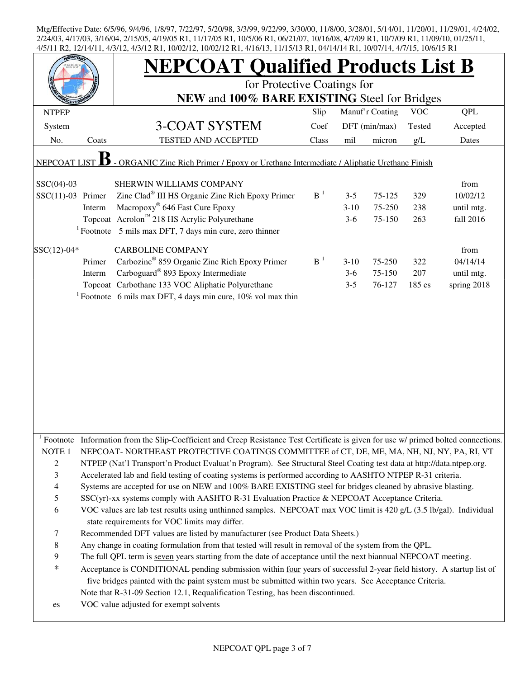|                          |        | <b>NEPCOAT Qualified Products List B</b><br>for Protective Coatings for<br>NEW and 100% BARE EXISTING Steel for Bridges                                                                                                                                                                                            |                |         |                 |            |             |  |  |  |
|--------------------------|--------|--------------------------------------------------------------------------------------------------------------------------------------------------------------------------------------------------------------------------------------------------------------------------------------------------------------------|----------------|---------|-----------------|------------|-------------|--|--|--|
| <b>NTPEP</b>             |        |                                                                                                                                                                                                                                                                                                                    | Slip           |         | Manuf'r Coating | <b>VOC</b> | QPL         |  |  |  |
| System                   |        | 3-COAT SYSTEM                                                                                                                                                                                                                                                                                                      | Coef           |         | DFT (min/max)   | Tested     | Accepted    |  |  |  |
| No.                      | Coats  | TESTED AND ACCEPTED                                                                                                                                                                                                                                                                                                | Class          | mil     | micron          | g/L        | Dates       |  |  |  |
| NEPCOAT LIST             |        | - ORGANIC Zinc Rich Primer / Epoxy or Urethane Intermediate / Aliphatic Urethane Finish                                                                                                                                                                                                                            |                |         |                 |            |             |  |  |  |
| $SSC(04)-03$             |        | SHERWIN WILLIAMS COMPANY                                                                                                                                                                                                                                                                                           |                |         |                 |            | from        |  |  |  |
| $SSC(11)-03$ Primer      |        | Zinc Clad <sup>®</sup> III HS Organic Zinc Rich Epoxy Primer                                                                                                                                                                                                                                                       | B <sup>1</sup> | $3 - 5$ | 75-125          | 329        | 10/02/12    |  |  |  |
|                          | Interm | Macropoxy <sup>®</sup> 646 Fast Cure Epoxy                                                                                                                                                                                                                                                                         |                | $3-10$  | 75-250          | 238        | until mtg.  |  |  |  |
|                          |        | Topcoat Acrolon™ 218 HS Acrylic Polyurethane                                                                                                                                                                                                                                                                       |                | $3-6$   | 75-150          | 263        | fall 2016   |  |  |  |
|                          |        | $1$ Footnote 5 mils max DFT, 7 days min cure, zero thinner                                                                                                                                                                                                                                                         |                |         |                 |            |             |  |  |  |
| $SSC(12)-04*$            |        | <b>CARBOLINE COMPANY</b>                                                                                                                                                                                                                                                                                           |                |         |                 |            | from        |  |  |  |
|                          | Primer | Carbozinc <sup>®</sup> 859 Organic Zinc Rich Epoxy Primer                                                                                                                                                                                                                                                          | B <sup>1</sup> | $3-10$  | 75-250          | 322        | 04/14/14    |  |  |  |
|                          | Interm | Carboguard <sup>®</sup> 893 Epoxy Intermediate                                                                                                                                                                                                                                                                     |                | $3-6$   | 75-150          | 207        | until mtg.  |  |  |  |
|                          |        | Topcoat Carbothane 133 VOC Aliphatic Polyurethane                                                                                                                                                                                                                                                                  |                | $3 - 5$ | 76-127          | 185 es     | spring 2018 |  |  |  |
|                          |        | <sup>1</sup> Footnote 6 mils max DFT, 4 days min cure, $10\%$ vol max thin                                                                                                                                                                                                                                         |                |         |                 |            |             |  |  |  |
|                          |        |                                                                                                                                                                                                                                                                                                                    |                |         |                 |            |             |  |  |  |
|                          |        | Footnote Information from the Slip-Coefficient and Creep Resistance Test Certificate is given for use w/ primed bolted connections.                                                                                                                                                                                |                |         |                 |            |             |  |  |  |
| NOTE <sub>1</sub>        |        | NEPCOAT-NORTHEAST PROTECTIVE COATINGS COMMITTEE of CT, DE, ME, MA, NH, NJ, NY, PA, RI, VT                                                                                                                                                                                                                          |                |         |                 |            |             |  |  |  |
| $\overline{2}$           |        | NTPEP (Nat'l Transport'n Product Evaluat'n Program). See Structural Steel Coating test data at http://data.ntpep.org.                                                                                                                                                                                              |                |         |                 |            |             |  |  |  |
| 3                        |        | Accelerated lab and field testing of coating systems is performed according to AASHTO NTPEP R-31 criteria.                                                                                                                                                                                                         |                |         |                 |            |             |  |  |  |
| $\overline{\mathcal{L}}$ |        | Systems are accepted for use on NEW and 100% BARE EXISTING steel for bridges cleaned by abrasive blasting.                                                                                                                                                                                                         |                |         |                 |            |             |  |  |  |
| 5                        |        | SSC(yr)-xx systems comply with AASHTO R-31 Evaluation Practice & NEPCOAT Acceptance Criteria.                                                                                                                                                                                                                      |                |         |                 |            |             |  |  |  |
| 6                        |        | VOC values are lab test results using unthinned samples. NEPCOAT max VOC limit is 420 g/L (3.5 lb/gal). Individual<br>state requirements for VOC limits may differ.                                                                                                                                                |                |         |                 |            |             |  |  |  |
| 7                        |        | Recommended DFT values are listed by manufacturer (see Product Data Sheets.)                                                                                                                                                                                                                                       |                |         |                 |            |             |  |  |  |
| $\,$ 8 $\,$              |        | Any change in coating formulation from that tested will result in removal of the system from the QPL.                                                                                                                                                                                                              |                |         |                 |            |             |  |  |  |
| 9                        |        | The full QPL term is seven years starting from the date of acceptance until the next biannual NEPCOAT meeting.                                                                                                                                                                                                     |                |         |                 |            |             |  |  |  |
| $\ast$                   |        | Acceptance is CONDITIONAL pending submission within four years of successful 2-year field history. A startup list of<br>five bridges painted with the paint system must be submitted within two years. See Acceptance Criteria.<br>Note that R-31-09 Section 12.1, Requalification Testing, has been discontinued. |                |         |                 |            |             |  |  |  |
| es                       |        | VOC value adjusted for exempt solvents                                                                                                                                                                                                                                                                             |                |         |                 |            |             |  |  |  |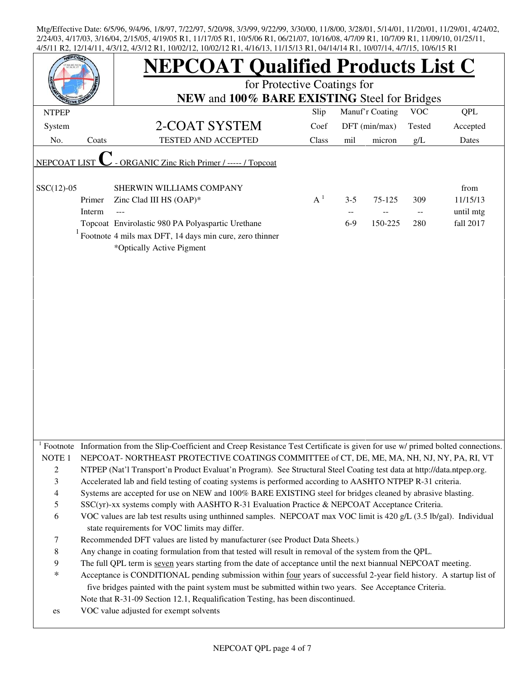|                   |        | <b>NEPCOAT Qualified Products List C</b>                                                                                                                                                                                        |       |         |                 |            |            |  |  |  |
|-------------------|--------|---------------------------------------------------------------------------------------------------------------------------------------------------------------------------------------------------------------------------------|-------|---------|-----------------|------------|------------|--|--|--|
|                   |        | for Protective Coatings for                                                                                                                                                                                                     |       |         |                 |            |            |  |  |  |
|                   |        | NEW and 100% BARE EXISTING Steel for Bridges                                                                                                                                                                                    |       |         |                 |            |            |  |  |  |
| <b>NTPEP</b>      |        |                                                                                                                                                                                                                                 | Slip  |         | Manuf'r Coating | <b>VOC</b> | <b>QPL</b> |  |  |  |
| System            |        | 2-COAT SYSTEM                                                                                                                                                                                                                   | Coef  |         | DFT (min/max)   | Tested     | Accepted   |  |  |  |
| No.               | Coats  | <b>TESTED AND ACCEPTED</b>                                                                                                                                                                                                      | Class | mil     | micron          | g/L        | Dates      |  |  |  |
| NEPCOAT LIST      |        | - ORGANIC Zinc Rich Primer / ----- / Topcoat                                                                                                                                                                                    |       |         |                 |            |            |  |  |  |
| $SSC(12)-05$      |        | SHERWIN WILLIAMS COMPANY                                                                                                                                                                                                        |       |         |                 |            | from       |  |  |  |
|                   | Primer | Zinc Clad III HS (OAP)*                                                                                                                                                                                                         | $A^1$ | $3 - 5$ | 75-125          | 309        | 11/15/13   |  |  |  |
|                   | Interm |                                                                                                                                                                                                                                 |       |         |                 |            | until mtg  |  |  |  |
|                   |        | Topcoat Envirolastic 980 PA Polyaspartic Urethane                                                                                                                                                                               |       | $6-9$   | 150-225         | 280        | fall 2017  |  |  |  |
|                   |        | Footnote 4 mils max DFT, 14 days min cure, zero thinner<br>*Optically Active Pigment                                                                                                                                            |       |         |                 |            |            |  |  |  |
|                   |        |                                                                                                                                                                                                                                 |       |         |                 |            |            |  |  |  |
|                   |        |                                                                                                                                                                                                                                 |       |         |                 |            |            |  |  |  |
|                   |        |                                                                                                                                                                                                                                 |       |         |                 |            |            |  |  |  |
|                   |        |                                                                                                                                                                                                                                 |       |         |                 |            |            |  |  |  |
|                   |        |                                                                                                                                                                                                                                 |       |         |                 |            |            |  |  |  |
|                   |        |                                                                                                                                                                                                                                 |       |         |                 |            |            |  |  |  |
|                   |        |                                                                                                                                                                                                                                 |       |         |                 |            |            |  |  |  |
|                   |        |                                                                                                                                                                                                                                 |       |         |                 |            |            |  |  |  |
|                   |        |                                                                                                                                                                                                                                 |       |         |                 |            |            |  |  |  |
|                   |        |                                                                                                                                                                                                                                 |       |         |                 |            |            |  |  |  |
|                   |        |                                                                                                                                                                                                                                 |       |         |                 |            |            |  |  |  |
|                   |        |                                                                                                                                                                                                                                 |       |         |                 |            |            |  |  |  |
|                   |        |                                                                                                                                                                                                                                 |       |         |                 |            |            |  |  |  |
|                   |        |                                                                                                                                                                                                                                 |       |         |                 |            |            |  |  |  |
|                   |        | <sup>1</sup> Footnote Information from the Slip-Coefficient and Creep Resistance Test Certificate is given for use w/ primed bolted connections.                                                                                |       |         |                 |            |            |  |  |  |
| NOTE <sub>1</sub> |        | NEPCOAT-NORTHEAST PROTECTIVE COATINGS COMMITTEE of CT, DE, ME, MA, NH, NJ, NY, PA, RI, VT                                                                                                                                       |       |         |                 |            |            |  |  |  |
| $\overline{c}$    |        | NTPEP (Nat'l Transport'n Product Evaluat'n Program). See Structural Steel Coating test data at http://data.ntpep.org.                                                                                                           |       |         |                 |            |            |  |  |  |
| 3                 |        | Accelerated lab and field testing of coating systems is performed according to AASHTO NTPEP R-31 criteria.                                                                                                                      |       |         |                 |            |            |  |  |  |
| 4                 |        | Systems are accepted for use on NEW and 100% BARE EXISTING steel for bridges cleaned by abrasive blasting.                                                                                                                      |       |         |                 |            |            |  |  |  |
| 5                 |        | SSC(yr)-xx systems comply with AASHTO R-31 Evaluation Practice & NEPCOAT Acceptance Criteria.                                                                                                                                   |       |         |                 |            |            |  |  |  |
| 6                 |        | VOC values are lab test results using unthinned samples. NEPCOAT max VOC limit is 420 g/L (3.5 lb/gal). Individual<br>state requirements for VOC limits may differ.                                                             |       |         |                 |            |            |  |  |  |
| 7                 |        | Recommended DFT values are listed by manufacturer (see Product Data Sheets.)                                                                                                                                                    |       |         |                 |            |            |  |  |  |
| 8                 |        | Any change in coating formulation from that tested will result in removal of the system from the QPL.                                                                                                                           |       |         |                 |            |            |  |  |  |
| 9                 |        | The full QPL term is seven years starting from the date of acceptance until the next biannual NEPCOAT meeting.                                                                                                                  |       |         |                 |            |            |  |  |  |
| *                 |        | Acceptance is CONDITIONAL pending submission within four years of successful 2-year field history. A startup list of<br>five bridges painted with the paint system must be submitted within two years. See Acceptance Criteria. |       |         |                 |            |            |  |  |  |
|                   |        | Note that R-31-09 Section 12.1, Requalification Testing, has been discontinued.                                                                                                                                                 |       |         |                 |            |            |  |  |  |
| es                |        | VOC value adjusted for exempt solvents                                                                                                                                                                                          |       |         |                 |            |            |  |  |  |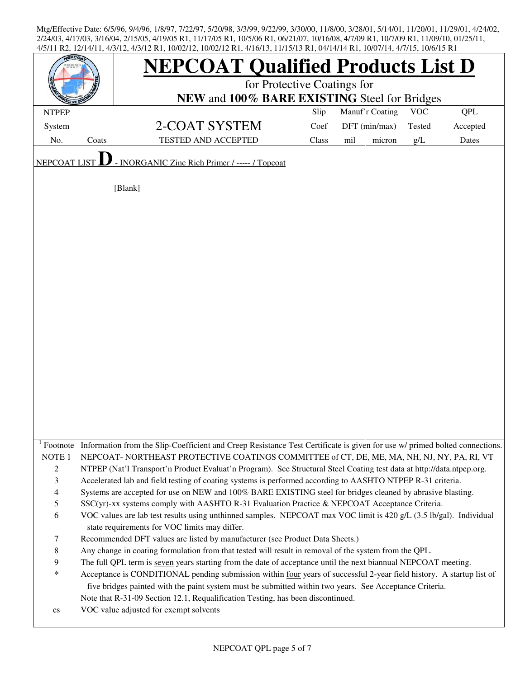|                     |       | <b>NEPCOAT Qualified Products List D</b><br>for Protective Coatings for<br>NEW and 100% BARE EXISTING Steel for Bridges             |       |                 |            |            |  |  |  |
|---------------------|-------|-------------------------------------------------------------------------------------------------------------------------------------|-------|-----------------|------------|------------|--|--|--|
| <b>NTPEP</b>        |       |                                                                                                                                     | Slip  | Manuf'r Coating | <b>VOC</b> | <b>QPL</b> |  |  |  |
| System              |       | 2-COAT SYSTEM                                                                                                                       | Coef  | DFT (min/max)   | Tested     | Accepted   |  |  |  |
| No.                 | Coats | <b>TESTED AND ACCEPTED</b>                                                                                                          | Class | mil<br>micron   | g/L        | Dates      |  |  |  |
|                     |       |                                                                                                                                     |       |                 |            |            |  |  |  |
| <b>NEPCOAT LIST</b> |       | - INORGANIC Zinc Rich Primer / ----- / Topcoat                                                                                      |       |                 |            |            |  |  |  |
|                     |       | [Blank]                                                                                                                             |       |                 |            |            |  |  |  |
|                     |       |                                                                                                                                     |       |                 |            |            |  |  |  |
|                     |       |                                                                                                                                     |       |                 |            |            |  |  |  |
|                     |       |                                                                                                                                     |       |                 |            |            |  |  |  |
|                     |       |                                                                                                                                     |       |                 |            |            |  |  |  |
|                     |       |                                                                                                                                     |       |                 |            |            |  |  |  |
|                     |       |                                                                                                                                     |       |                 |            |            |  |  |  |
|                     |       |                                                                                                                                     |       |                 |            |            |  |  |  |
|                     |       |                                                                                                                                     |       |                 |            |            |  |  |  |
|                     |       |                                                                                                                                     |       |                 |            |            |  |  |  |
|                     |       |                                                                                                                                     |       |                 |            |            |  |  |  |
|                     |       |                                                                                                                                     |       |                 |            |            |  |  |  |
|                     |       |                                                                                                                                     |       |                 |            |            |  |  |  |
|                     |       |                                                                                                                                     |       |                 |            |            |  |  |  |
|                     |       |                                                                                                                                     |       |                 |            |            |  |  |  |
|                     |       |                                                                                                                                     |       |                 |            |            |  |  |  |
|                     |       |                                                                                                                                     |       |                 |            |            |  |  |  |
|                     |       |                                                                                                                                     |       |                 |            |            |  |  |  |
|                     |       |                                                                                                                                     |       |                 |            |            |  |  |  |
|                     |       |                                                                                                                                     |       |                 |            |            |  |  |  |
|                     |       |                                                                                                                                     |       |                 |            |            |  |  |  |
|                     |       | Footnote Information from the Slip-Coefficient and Creep Resistance Test Certificate is given for use w/ primed bolted connections. |       |                 |            |            |  |  |  |
| NOTE <sub>1</sub>   |       | NEPCOAT-NORTHEAST PROTECTIVE COATINGS COMMITTEE of CT, DE, ME, MA, NH, NJ, NY, PA, RI, VT                                           |       |                 |            |            |  |  |  |
| $\boldsymbol{2}$    |       | NTPEP (Nat'l Transport'n Product Evaluat'n Program). See Structural Steel Coating test data at http://data.ntpep.org.               |       |                 |            |            |  |  |  |
| 3                   |       | Accelerated lab and field testing of coating systems is performed according to AASHTO NTPEP R-31 criteria.                          |       |                 |            |            |  |  |  |
| $\overline{4}$      |       | Systems are accepted for use on NEW and 100% BARE EXISTING steel for bridges cleaned by abrasive blasting.                          |       |                 |            |            |  |  |  |
| 5                   |       | SSC(yr)-xx systems comply with AASHTO R-31 Evaluation Practice & NEPCOAT Acceptance Criteria.                                       |       |                 |            |            |  |  |  |
| 6                   |       | VOC values are lab test results using unthinned samples. NEPCOAT max VOC limit is 420 g/L (3.5 lb/gal). Individual                  |       |                 |            |            |  |  |  |
|                     |       | state requirements for VOC limits may differ.                                                                                       |       |                 |            |            |  |  |  |
| $\tau$              |       | Recommended DFT values are listed by manufacturer (see Product Data Sheets.)                                                        |       |                 |            |            |  |  |  |
| $\,8\,$             |       | Any change in coating formulation from that tested will result in removal of the system from the QPL.                               |       |                 |            |            |  |  |  |
| 9                   |       | The full QPL term is seven years starting from the date of acceptance until the next biannual NEPCOAT meeting.                      |       |                 |            |            |  |  |  |
| $\ast$              |       | Acceptance is CONDITIONAL pending submission within four years of successful 2-year field history. A startup list of                |       |                 |            |            |  |  |  |
|                     |       | five bridges painted with the paint system must be submitted within two years. See Acceptance Criteria.                             |       |                 |            |            |  |  |  |
|                     |       | Note that R-31-09 Section 12.1, Requalification Testing, has been discontinued.                                                     |       |                 |            |            |  |  |  |
| es                  |       | VOC value adjusted for exempt solvents                                                                                              |       |                 |            |            |  |  |  |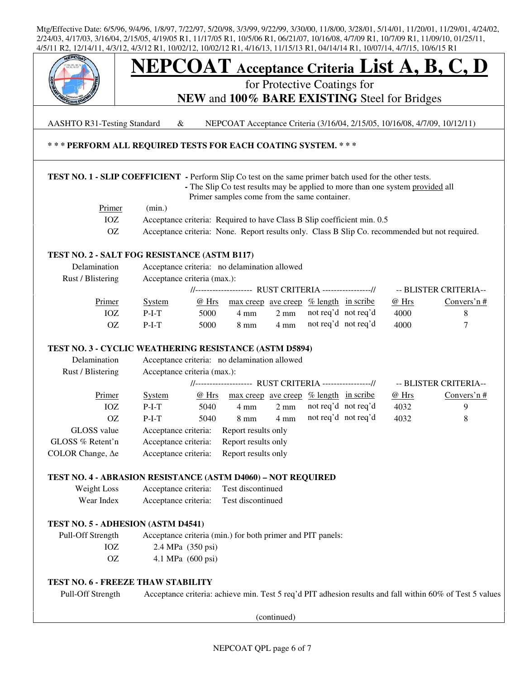

AASHTO R31-Testing Standard & NEPCOAT Acceptance Criteria (3/16/04, 2/15/05, 10/16/08, 4/7/09, 10/12/11)

## **\* \* \* PERFORM ALL REQUIRED TESTS FOR EACH COATING SYSTEM. \* \* \***

## **TEST NO. 1 - SLIP COEFFICIENT -** Perform Slip Co test on the same primer batch used for the other tests.

 **-** The Slip Co test results may be applied to more than one system provided all Primer samples come from the same container.

| Primer | (min.)                                                                                         |
|--------|------------------------------------------------------------------------------------------------|
|        | Acceptance criteria: Required to have Class B Slip coefficient min. 0.5                        |
|        | Acceptance criteria: None. Report results only. Class B Slip Co. recommended but not required. |

## **TEST NO. 2 - SALT FOG RESISTANCE (ASTM B117)**

| Delamination      | Acceptance criteria: no delamination allowed            |       |                                        |                |                     |  |       |                       |
|-------------------|---------------------------------------------------------|-------|----------------------------------------|----------------|---------------------|--|-------|-----------------------|
| Rust / Blistering | Acceptance criteria (max.):                             |       |                                        |                |                     |  |       |                       |
|                   | //-------------------- RUST CRITERIA ----------------// |       |                                        |                |                     |  |       | -- BLISTER CRITERIA-- |
| Primer            | System                                                  | @ Hrs | max creep ave creep % length in scribe |                |                     |  | @ Hrs | Convers'n $#$         |
| IOZ               | $P-I-T$                                                 | 5000  | 4 mm                                   | $2 \text{ mm}$ | not req'd not req'd |  | 4000  |                       |
| OΖ                | $P-I-T$                                                 | 5000  | 8 mm                                   | $4 \text{ mm}$ | not req'd not req'd |  | 4000  |                       |
|                   |                                                         |       |                                        |                |                     |  |       |                       |

## **TEST NO. 3 - CYCLIC WEATHERING RESISTANCE (ASTM D5894)**

| Delamination             | Acceptance criteria: no delamination allowed           |       |                                                      |                |  |                     |       |                       |
|--------------------------|--------------------------------------------------------|-------|------------------------------------------------------|----------------|--|---------------------|-------|-----------------------|
| Rust / Blistering        | Acceptance criteria (max.):                            |       |                                                      |                |  |                     |       |                       |
|                          | //------------------- RUST CRITERIA ----------------// |       |                                                      |                |  |                     |       | -- BLISTER CRITERIA-- |
| Primer                   | <b>System</b>                                          | @ Hrs | $\frac{max\,creep\,ave\,creep\,% \,length\,in\,scr}$ |                |  |                     | @ Hrs | Convers'n $#$         |
| IOZ                      | $P-I-T$                                                | 5040  | 4 mm                                                 | $2 \text{ mm}$ |  | not req'd not req'd | 4032  | 9                     |
| OΖ                       | $P-I-T$                                                | 5040  | $8 \text{ mm}$                                       | $4 \text{ mm}$ |  | not req'd not req'd | 4032  | 8                     |
| GLOSS value              | Acceptance criteria:                                   |       | Report results only                                  |                |  |                     |       |                       |
| GLOSS % Retent'n         | Acceptance criteria:                                   |       | Report results only                                  |                |  |                     |       |                       |
| COLOR Change, $\Delta$ e | Acceptance criteria:                                   |       | Report results only                                  |                |  |                     |       |                       |

## **TEST NO. 4 - ABRASION RESISTANCE (ASTM D4060) – NOT REQUIRED**

| Weight Loss | Acceptance criteria: | Test discontinued |
|-------------|----------------------|-------------------|
| Wear Index  | Acceptance criteria: | Test discontinued |

## **TEST NO. 5 - ADHESION (ASTM D4541)**

 Pull-Off Strength Acceptance criteria (min.) for both primer and PIT panels: IOZ 2.4 MPa (350 psi) OZ 4.1 MPa (600 psi)

## **TEST NO. 6 - FREEZE THAW STABILITY**

Pull-Off Strength Acceptance criteria: achieve min. Test 5 req'd PIT adhesion results and fall within 60% of Test 5 values

(continued)